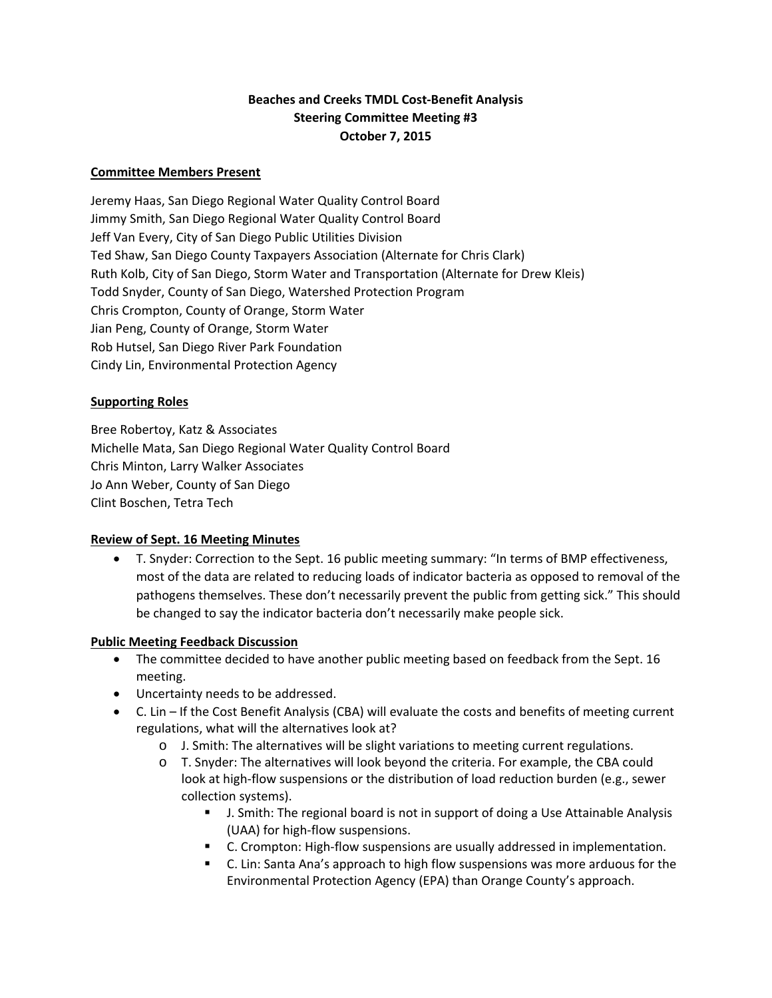## **Beaches and Creeks TMDL Cost‐Benefit Analysis Steering Committee Meeting #3 October 7, 2015**

#### **Committee Members Present**

Jeremy Haas, San Diego Regional Water Quality Control Board Jimmy Smith, San Diego Regional Water Quality Control Board Jeff Van Every, City of San Diego Public Utilities Division Ted Shaw, San Diego County Taxpayers Association (Alternate for Chris Clark) Ruth Kolb, City of San Diego, Storm Water and Transportation (Alternate for Drew Kleis) Todd Snyder, County of San Diego, Watershed Protection Program Chris Crompton, County of Orange, Storm Water Jian Peng, County of Orange, Storm Water Rob Hutsel, San Diego River Park Foundation Cindy Lin, Environmental Protection Agency

#### **Supporting Roles**

Bree Robertoy, Katz & Associates Michelle Mata, San Diego Regional Water Quality Control Board Chris Minton, Larry Walker Associates Jo Ann Weber, County of San Diego Clint Boschen, Tetra Tech

### **Review of Sept. 16 Meeting Minutes**

 T. Snyder: Correction to the Sept. 16 public meeting summary: "In terms of BMP effectiveness, most of the data are related to reducing loads of indicator bacteria as opposed to removal of the pathogens themselves. These don't necessarily prevent the public from getting sick." This should be changed to say the indicator bacteria don't necessarily make people sick.

#### **Public Meeting Feedback Discussion**

- The committee decided to have another public meeting based on feedback from the Sept. 16 meeting.
- Uncertainty needs to be addressed.
- C. Lin If the Cost Benefit Analysis (CBA) will evaluate the costs and benefits of meeting current regulations, what will the alternatives look at?
	- o J. Smith: The alternatives will be slight variations to meeting current regulations.
	- o T. Snyder: The alternatives will look beyond the criteria. For example, the CBA could look at high-flow suspensions or the distribution of load reduction burden (e.g., sewer collection systems).
		- J. Smith: The regional board is not in support of doing a Use Attainable Analysis (UAA) for high‐flow suspensions.
		- C. Crompton: High-flow suspensions are usually addressed in implementation.
		- C. Lin: Santa Ana's approach to high flow suspensions was more arduous for the Environmental Protection Agency (EPA) than Orange County's approach.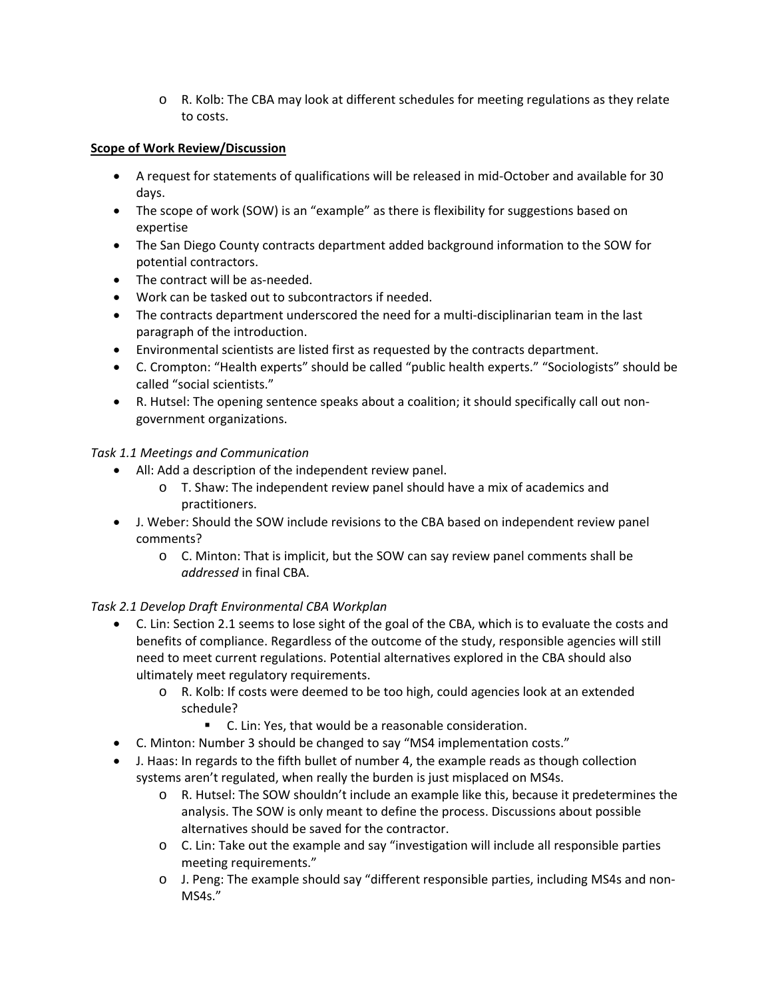o R. Kolb: The CBA may look at different schedules for meeting regulations as they relate to costs.

#### **Scope of Work Review/Discussion**

- A request for statements of qualifications will be released in mid-October and available for 30 days.
- The scope of work (SOW) is an "example" as there is flexibility for suggestions based on expertise
- The San Diego County contracts department added background information to the SOW for potential contractors.
- The contract will be as-needed.
- Work can be tasked out to subcontractors if needed.
- The contracts department underscored the need for a multi-disciplinarian team in the last paragraph of the introduction.
- Environmental scientists are listed first as requested by the contracts department.
- C. Crompton: "Health experts" should be called "public health experts." "Sociologists" should be called "social scientists."
- R. Hutsel: The opening sentence speaks about a coalition; it should specifically call out nongovernment organizations.

### *Task 1.1 Meetings and Communication*

- All: Add a description of the independent review panel.
	- o T. Shaw: The independent review panel should have a mix of academics and practitioners.
- J. Weber: Should the SOW include revisions to the CBA based on independent review panel comments?
	- o C. Minton: That is implicit, but the SOW can say review panel comments shall be *addressed* in final CBA.

### *Task 2.1 Develop Draft Environmental CBA Workplan*

- C. Lin: Section 2.1 seems to lose sight of the goal of the CBA, which is to evaluate the costs and benefits of compliance. Regardless of the outcome of the study, responsible agencies will still need to meet current regulations. Potential alternatives explored in the CBA should also ultimately meet regulatory requirements.
	- o R. Kolb: If costs were deemed to be too high, could agencies look at an extended schedule?
		- C. Lin: Yes, that would be a reasonable consideration.
- C. Minton: Number 3 should be changed to say "MS4 implementation costs."
- J. Haas: In regards to the fifth bullet of number 4, the example reads as though collection systems aren't regulated, when really the burden is just misplaced on MS4s.
	- o R. Hutsel: The SOW shouldn't include an example like this, because it predetermines the analysis. The SOW is only meant to define the process. Discussions about possible alternatives should be saved for the contractor.
	- o C. Lin: Take out the example and say "investigation will include all responsible parties meeting requirements."
	- o J. Peng: The example should say "different responsible parties, including MS4s and non‐ MS4s."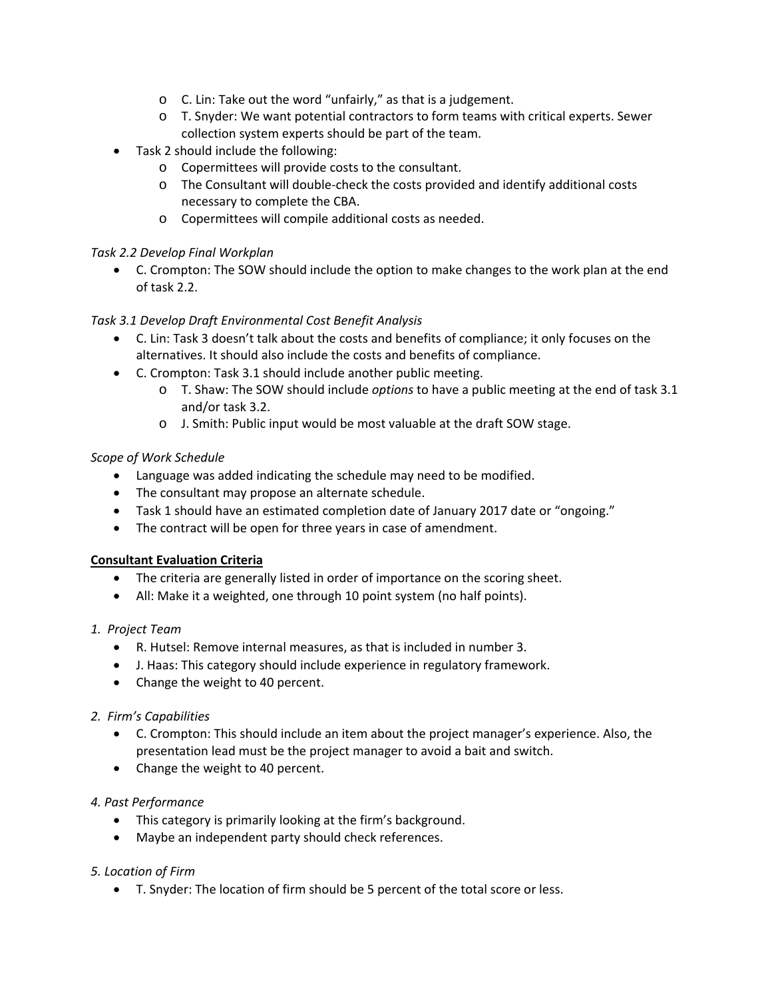- o C. Lin: Take out the word "unfairly," as that is a judgement.
- o T. Snyder: We want potential contractors to form teams with critical experts. Sewer collection system experts should be part of the team.
- Task 2 should include the following:
	- o Copermittees will provide costs to the consultant.
	- o The Consultant will double‐check the costs provided and identify additional costs necessary to complete the CBA.
	- o Copermittees will compile additional costs as needed.

### *Task 2.2 Develop Final Workplan*

 C. Crompton: The SOW should include the option to make changes to the work plan at the end of task 2.2.

## *Task 3.1 Develop Draft Environmental Cost Benefit Analysis*

- C. Lin: Task 3 doesn't talk about the costs and benefits of compliance; it only focuses on the alternatives. It should also include the costs and benefits of compliance.
- C. Crompton: Task 3.1 should include another public meeting.
	- o T. Shaw: The SOW should include *options* to have a public meeting at the end of task 3.1 and/or task 3.2.
	- o J. Smith: Public input would be most valuable at the draft SOW stage.

## *Scope of Work Schedule*

- Language was added indicating the schedule may need to be modified.
- The consultant may propose an alternate schedule.
- Task 1 should have an estimated completion date of January 2017 date or "ongoing."
- The contract will be open for three years in case of amendment.

### **Consultant Evaluation Criteria**

- The criteria are generally listed in order of importance on the scoring sheet.
- All: Make it a weighted, one through 10 point system (no half points).

# *1. Project Team*

- R. Hutsel: Remove internal measures, as that is included in number 3.
- J. Haas: This category should include experience in regulatory framework.
- Change the weight to 40 percent.

### *2. Firm's Capabilities*

- C. Crompton: This should include an item about the project manager's experience. Also, the presentation lead must be the project manager to avoid a bait and switch.
- Change the weight to 40 percent.

### *4. Past Performance*

- This category is primarily looking at the firm's background.
- Maybe an independent party should check references.

### *5. Location of Firm*

T. Snyder: The location of firm should be 5 percent of the total score or less.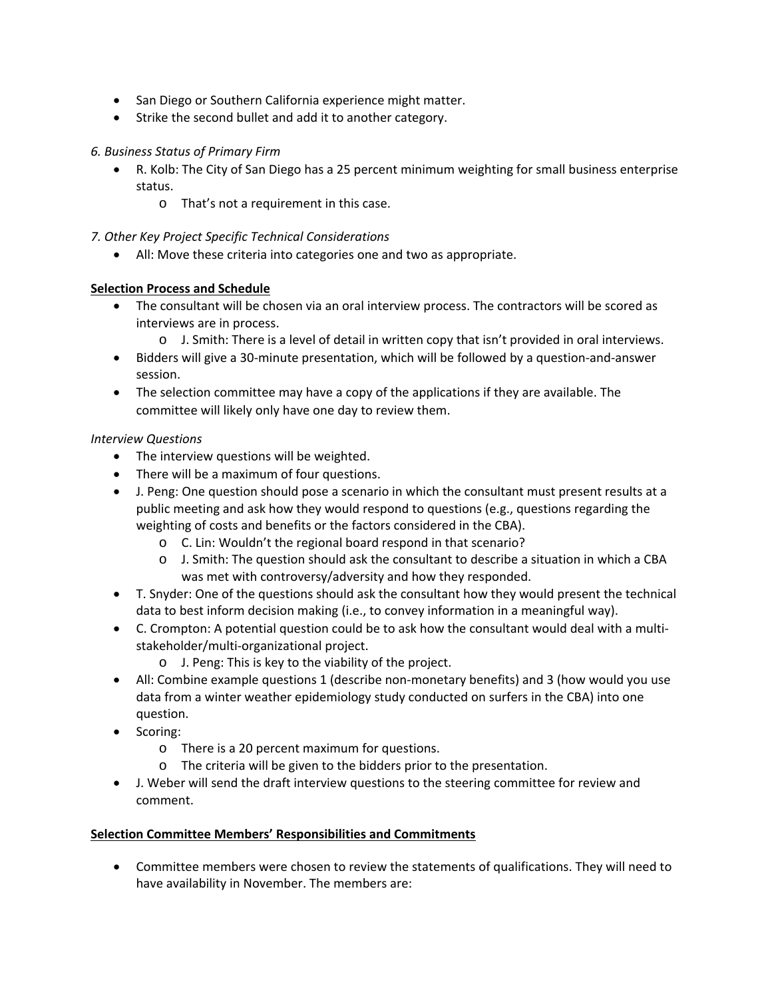- San Diego or Southern California experience might matter.
- Strike the second bullet and add it to another category.

#### *6. Business Status of Primary Firm*

- R. Kolb: The City of San Diego has a 25 percent minimum weighting for small business enterprise status.
	- o That's not a requirement in this case.

#### *7. Other Key Project Specific Technical Considerations*

All: Move these criteria into categories one and two as appropriate.

### **Selection Process and Schedule**

- The consultant will be chosen via an oral interview process. The contractors will be scored as interviews are in process.
	- o J. Smith: There is a level of detail in written copy that isn't provided in oral interviews.
- Bidders will give a 30-minute presentation, which will be followed by a question-and-answer session.
- The selection committee may have a copy of the applications if they are available. The committee will likely only have one day to review them.

#### *Interview Questions*

- The interview questions will be weighted.
- There will be a maximum of four questions.
- J. Peng: One question should pose a scenario in which the consultant must present results at a public meeting and ask how they would respond to questions (e.g., questions regarding the weighting of costs and benefits or the factors considered in the CBA).
	- o C. Lin: Wouldn't the regional board respond in that scenario?
	- o J. Smith: The question should ask the consultant to describe a situation in which a CBA was met with controversy/adversity and how they responded.
- T. Snyder: One of the questions should ask the consultant how they would present the technical data to best inform decision making (i.e., to convey information in a meaningful way).
- C. Crompton: A potential question could be to ask how the consultant would deal with a multi stakeholder/multi‐organizational project.
	- o J. Peng: This is key to the viability of the project.
- All: Combine example questions 1 (describe non-monetary benefits) and 3 (how would you use data from a winter weather epidemiology study conducted on surfers in the CBA) into one question.
- Scoring:
	- o There is a 20 percent maximum for questions.
	- o The criteria will be given to the bidders prior to the presentation.
- J. Weber will send the draft interview questions to the steering committee for review and comment.

#### **Selection Committee Members' Responsibilities and Commitments**

 Committee members were chosen to review the statements of qualifications. They will need to have availability in November. The members are: